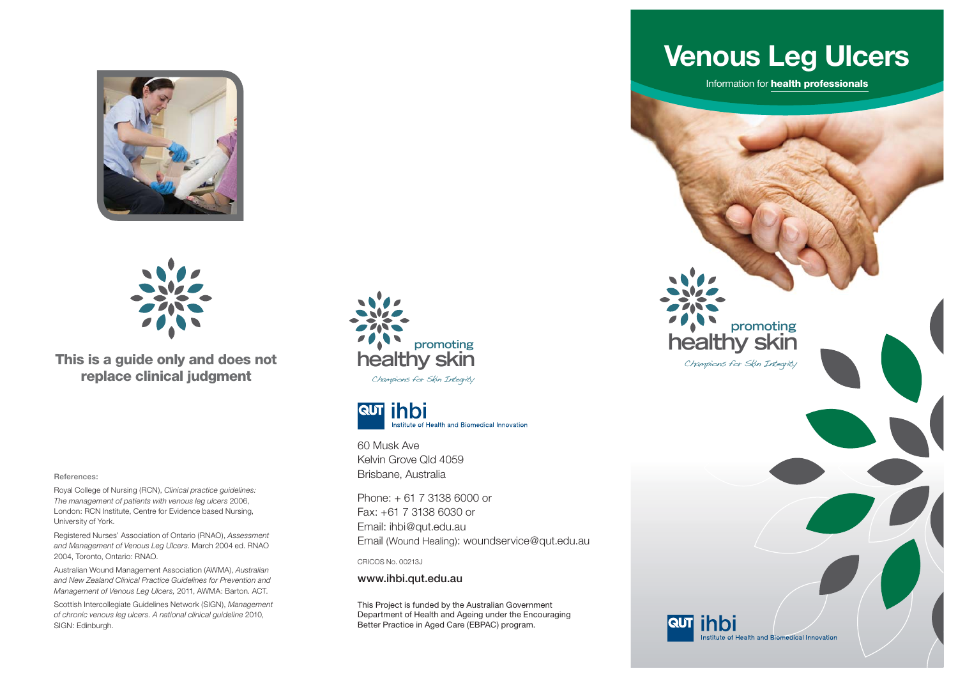



**This is a guide only and does not replace clinical judgment**

**References:**

Royal College of Nursing (RCN), *Clinical practice guidelines: The management of patients with venous leg ulcers* 2006, London: RCN Institute, Centre for Evidence based Nursing, University of York.

Registered Nurses' Association of Ontario (RNAO), *Assessment and Management of Venous Leg Ulcers*. March 2004 ed. RNAO 2004, Toronto, Ontario: RNAO.

Australian Wound Management Association (AWMA), *Australian and New Zealand Clinical Practice Guidelines for Prevention and Management of Venous Leg Ulcers,* 2011, AWMA: Barton. ACT.

Scottish Intercollegiate Guidelines Network (SIGN), *Management of chronic venous leg ulcers. A national clinical guideline* 2010, SIGN: Edinburgh.





60 Musk Ave Kelvin Grove Qld 4059Brisbane, Australia

Phone: + 61 7 3138 6000 or Fax: +61 7 3138 6030 or Email: ihbi@qut.edu.au Email (Wound Healing): woundservice@qut.edu.au

CRICOS No. 00213J

**www.ihbi.qut.edu.au**

This Project is funded by the Australian Government Department of Health and Ageing under the Encouraging Better Practice in Aged Care (EBPAC) program.

## **Venous Leg Ulcers**

Information for **health professionals**